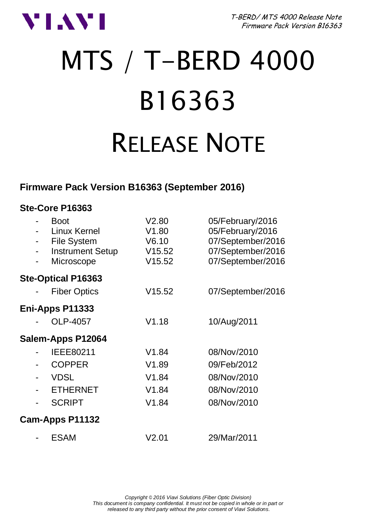

T-BERD/ MTS 4000 Release Note Firmware Pack Version B16363

# MTS / T-BERD 4000 B16363 RELEASE NOTE

### **Firmware Pack Version B16363 (September 2016)**

#### **Ste-Core P16363**

| ۰<br>٠ | <b>Boot</b><br>Linux Kernel<br><b>File System</b><br><b>Instrument Setup</b><br>Microscope | V2.80<br>V1.80<br>V6.10<br>V15.52<br>V15.52 | 05/February/2016<br>05/February/2016<br>07/September/2016<br>07/September/2016<br>07/September/2016 |
|--------|--------------------------------------------------------------------------------------------|---------------------------------------------|-----------------------------------------------------------------------------------------------------|
|        | Ste-Optical P16363                                                                         |                                             |                                                                                                     |
|        | <b>Fiber Optics</b>                                                                        | V15.52                                      | 07/September/2016                                                                                   |
|        | Eni-Apps P11333                                                                            |                                             |                                                                                                     |
|        | OLP-4057                                                                                   | V1.18                                       | 10/Aug/2011                                                                                         |
|        | Salem-Apps P12064                                                                          |                                             |                                                                                                     |
|        | IEEE80211                                                                                  | V <sub>1.84</sub>                           | 08/Nov/2010                                                                                         |
|        | <b>COPPER</b>                                                                              | V1.89                                       | 09/Feb/2012                                                                                         |
|        | <b>VDSL</b>                                                                                | V1.84                                       | 08/Nov/2010                                                                                         |
|        | <b>ETHERNET</b>                                                                            | V1.84                                       | 08/Nov/2010                                                                                         |
|        | <b>SCRIPT</b>                                                                              | V1.84                                       | 08/Nov/2010                                                                                         |
|        | Cam-Apps P11132                                                                            |                                             |                                                                                                     |
|        | <b>ESAM</b>                                                                                | V2.01                                       | 29/Mar/2011                                                                                         |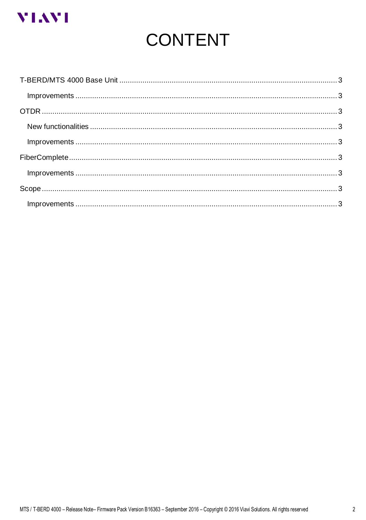

# **CONTENT**